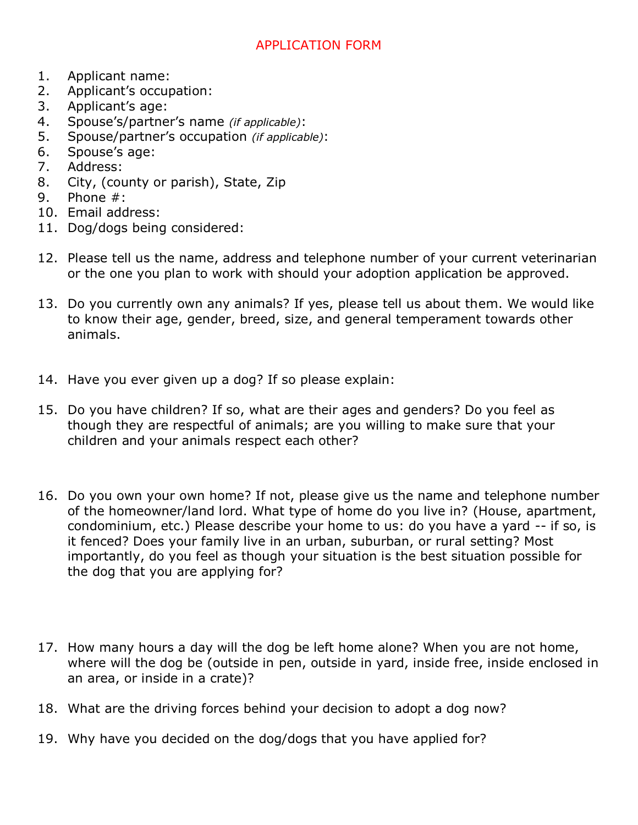## APPLICATION FORM

- 1. Applicant name:
- 2. Applicant's occupation:
- 3. Applicant's age:
- 4. Spouse's/partner's name *(if applicable)*:
- 5. Spouse/partner's occupation *(if applicable)*:
- 6. Spouse's age:
- 7. Address:
- 8. City, (county or parish), State, Zip
- 9. Phone #:
- 10. Email address:
- 11. Dog/dogs being considered:
- 12. Please tell us the name, address and telephone number of your current veterinarian or the one you plan to work with should your adoption application be approved.
- 13. Do you currently own any animals? If yes, please tell us about them. We would like to know their age, gender, breed, size, and general temperament towards other animals.
- 14. Have you ever given up a dog? If so please explain:
- 15. Do you have children? If so, what are their ages and genders? Do you feel as though they are respectful of animals; are you willing to make sure that your children and your animals respect each other?
- 16. Do you own your own home? If not, please give us the name and telephone number of the homeowner/land lord. What type of home do you live in? (House, apartment, condominium, etc.) Please describe your home to us: do you have a yard -- if so, is it fenced? Does your family live in an urban, suburban, or rural setting? Most importantly, do you feel as though your situation is the best situation possible for the dog that you are applying for?
- 17. How many hours a day will the dog be left home alone? When you are not home, where will the dog be (outside in pen, outside in yard, inside free, inside enclosed in an area, or inside in a crate)?
- 18. What are the driving forces behind your decision to adopt a dog now?
- 19. Why have you decided on the dog/dogs that you have applied for?